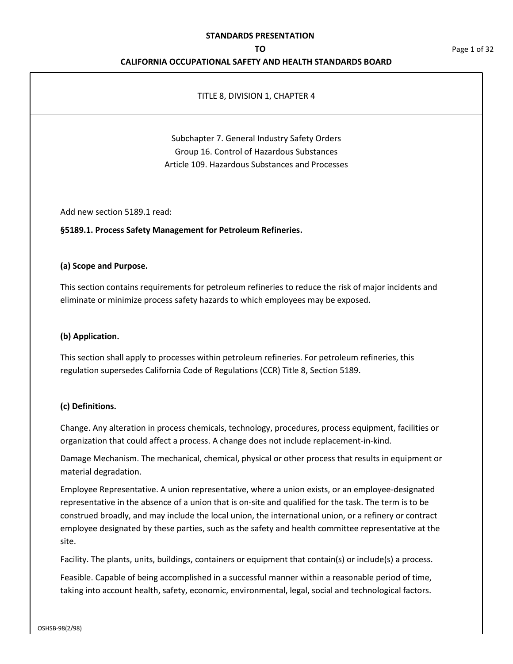#### **TO**

## **CALIFORNIA OCCUPATIONAL SAFETY AND HEALTH STANDARDS BOARD**

## TITLE 8, DIVISION 1, CHAPTER 4

# Subchapter 7. General Industry Safety Orders Group 16. Control of Hazardous Substances Article 109. Hazardous Substances and Processes

Add new section 5189.1 read:

**§5189.1. Process Safety Management for Petroleum Refineries.** 

## **(a) Scope and Purpose.**

This section contains requirements for petroleum refineries to reduce the risk of major incidents and eliminate or minimize process safety hazards to which employees may be exposed.

## **(b) Application.**

This section shall apply to processes within petroleum refineries. For petroleum refineries, this regulation supersedes California Code of Regulations (CCR) Title 8, Section 5189.

## **(c) Definitions.**

Change. Any alteration in process chemicals, technology, procedures, process equipment, facilities or organization that could affect a process. A change does not include replacement-in-kind.

Damage Mechanism. The mechanical, chemical, physical or other process that results in equipment or material degradation.

Employee Representative. A union representative, where a union exists, or an employee-designated representative in the absence of a union that is on-site and qualified for the task. The term is to be construed broadly, and may include the local union, the international union, or a refinery or contract employee designated by these parties, such as the safety and health committee representative at the site.

Facility. The plants, units, buildings, containers or equipment that contain(s) or include(s) a process.

Feasible. Capable of being accomplished in a successful manner within a reasonable period of time, taking into account health, safety, economic, environmental, legal, social and technological factors. Page 1 of 32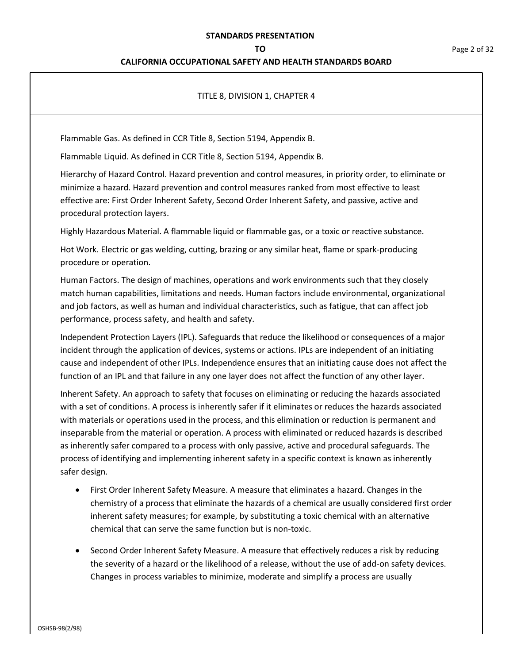## **CALIFORNIA OCCUPATIONAL SAFETY AND HEALTH STANDARDS BOARD**

## TITLE 8, DIVISION 1, CHAPTER 4

Flammable Gas. As defined in CCR Title 8, Section 5194, Appendix B.

Flammable Liquid. As defined in CCR Title 8, Section 5194, Appendix B.

Hierarchy of Hazard Control. Hazard prevention and control measures, in priority order, to eliminate or minimize a hazard. Hazard prevention and control measures ranked from most effective to least effective are: First Order Inherent Safety, Second Order Inherent Safety, and passive, active and procedural protection layers.

Highly Hazardous Material. A flammable liquid or flammable gas, or a toxic or reactive substance.

Hot Work. Electric or gas welding, cutting, brazing or any similar heat, flame or spark-producing procedure or operation.

Human Factors. The design of machines, operations and work environments such that they closely match human capabilities, limitations and needs. Human factors include environmental, organizational and job factors, as well as human and individual characteristics, such as fatigue, that can affect job performance, process safety, and health and safety.

Independent Protection Layers (IPL). Safeguards that reduce the likelihood or consequences of a major incident through the application of devices, systems or actions. IPLs are independent of an initiating cause and independent of other IPLs. Independence ensures that an initiating cause does not affect the function of an IPL and that failure in any one layer does not affect the function of any other layer.

Inherent Safety. An approach to safety that focuses on eliminating or reducing the hazards associated with a set of conditions. A process is inherently safer if it eliminates or reduces the hazards associated with materials or operations used in the process, and this elimination or reduction is permanent and inseparable from the material or operation. A process with eliminated or reduced hazards is described as inherently safer compared to a process with only passive, active and procedural safeguards. The process of identifying and implementing inherent safety in a specific context is known as inherently safer design.

- First Order Inherent Safety Measure. A measure that eliminates a hazard. Changes in the chemistry of a process that eliminate the hazards of a chemical are usually considered first order inherent safety measures; for example, by substituting a toxic chemical with an alternative chemical that can serve the same function but is non-toxic.
- Second Order Inherent Safety Measure. A measure that effectively reduces a risk by reducing the severity of a hazard or the likelihood of a release, without the use of add-on safety devices. Changes in process variables to minimize, moderate and simplify a process are usually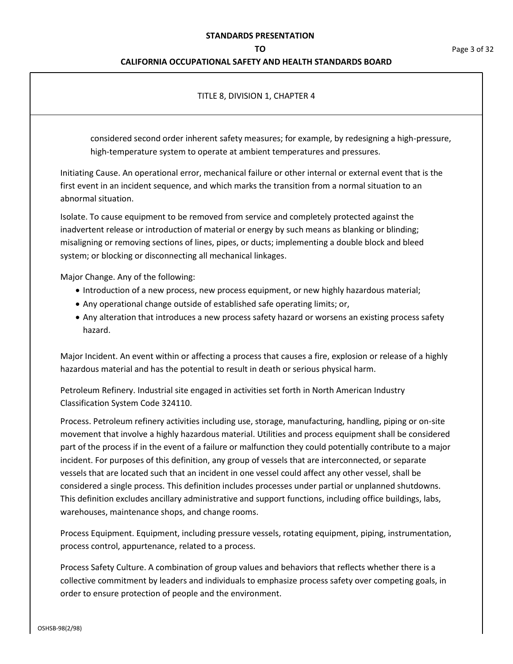## **CALIFORNIA OCCUPATIONAL SAFETY AND HEALTH STANDARDS BOARD**

## TITLE 8, DIVISION 1, CHAPTER 4

considered second order inherent safety measures; for example, by redesigning a high-pressure, high-temperature system to operate at ambient temperatures and pressures.

Initiating Cause. An operational error, mechanical failure or other internal or external event that is the first event in an incident sequence, and which marks the transition from a normal situation to an abnormal situation.

Isolate. To cause equipment to be removed from service and completely protected against the inadvertent release or introduction of material or energy by such means as blanking or blinding; misaligning or removing sections of lines, pipes, or ducts; implementing a double block and bleed system; or blocking or disconnecting all mechanical linkages.

Major Change. Any of the following:

- Introduction of a new process, new process equipment, or new highly hazardous material;
- Any operational change outside of established safe operating limits; or,
- Any alteration that introduces a new process safety hazard or worsens an existing process safety hazard.

Major Incident. An event within or affecting a process that causes a fire, explosion or release of a highly hazardous material and has the potential to result in death or serious physical harm.

Petroleum Refinery. Industrial site engaged in activities set forth in North American Industry Classification System Code 324110.

Process. Petroleum refinery activities including use, storage, manufacturing, handling, piping or on-site movement that involve a highly hazardous material. Utilities and process equipment shall be considered part of the process if in the event of a failure or malfunction they could potentially contribute to a major incident. For purposes of this definition, any group of vessels that are interconnected, or separate vessels that are located such that an incident in one vessel could affect any other vessel, shall be considered a single process. This definition includes processes under partial or unplanned shutdowns. This definition excludes ancillary administrative and support functions, including office buildings, labs, warehouses, maintenance shops, and change rooms.

Process Equipment. Equipment, including pressure vessels, rotating equipment, piping, instrumentation, process control, appurtenance, related to a process.

Process Safety Culture. A combination of group values and behaviors that reflects whether there is a collective commitment by leaders and individuals to emphasize process safety over competing goals, in order to ensure protection of people and the environment.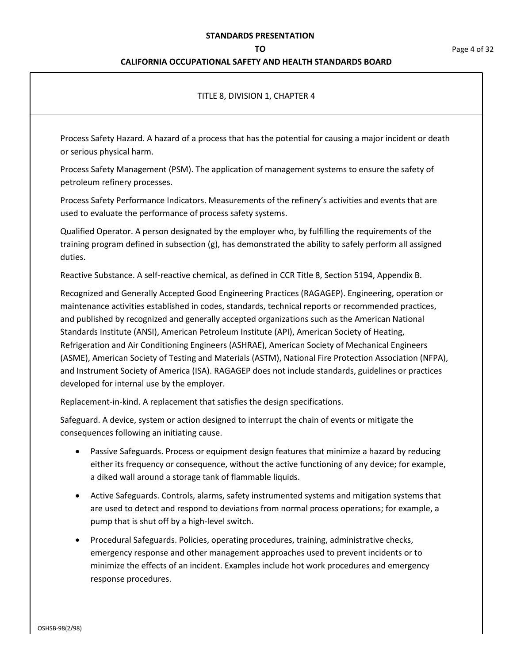## **CALIFORNIA OCCUPATIONAL SAFETY AND HEALTH STANDARDS BOARD**

## TITLE 8, DIVISION 1, CHAPTER 4

Process Safety Hazard. A hazard of a process that has the potential for causing a major incident or death or serious physical harm.

Process Safety Management (PSM). The application of management systems to ensure the safety of petroleum refinery processes.

Process Safety Performance Indicators. Measurements of the refinery's activities and events that are used to evaluate the performance of process safety systems.

Qualified Operator. A person designated by the employer who, by fulfilling the requirements of the training program defined in subsection (g), has demonstrated the ability to safely perform all assigned duties.

Reactive Substance. A self-reactive chemical, as defined in CCR Title 8, Section 5194, Appendix B.

Recognized and Generally Accepted Good Engineering Practices (RAGAGEP). Engineering, operation or maintenance activities established in codes, standards, technical reports or recommended practices, and published by recognized and generally accepted organizations such as the American National Standards Institute (ANSI), American Petroleum Institute (API), American Society of Heating, Refrigeration and Air Conditioning Engineers (ASHRAE), American Society of Mechanical Engineers (ASME), American Society of Testing and Materials (ASTM), National Fire Protection Association (NFPA), and Instrument Society of America (ISA). RAGAGEP does not include standards, guidelines or practices developed for internal use by the employer.

Replacement-in-kind. A replacement that satisfies the design specifications.

Safeguard. A device, system or action designed to interrupt the chain of events or mitigate the consequences following an initiating cause.

- Passive Safeguards. Process or equipment design features that minimize a hazard by reducing either its frequency or consequence, without the active functioning of any device; for example, a diked wall around a storage tank of flammable liquids.
- Active Safeguards. Controls, alarms, safety instrumented systems and mitigation systems that are used to detect and respond to deviations from normal process operations; for example, a pump that is shut off by a high-level switch.
- Procedural Safeguards. Policies, operating procedures, training, administrative checks, emergency response and other management approaches used to prevent incidents or to minimize the effects of an incident. Examples include hot work procedures and emergency response procedures.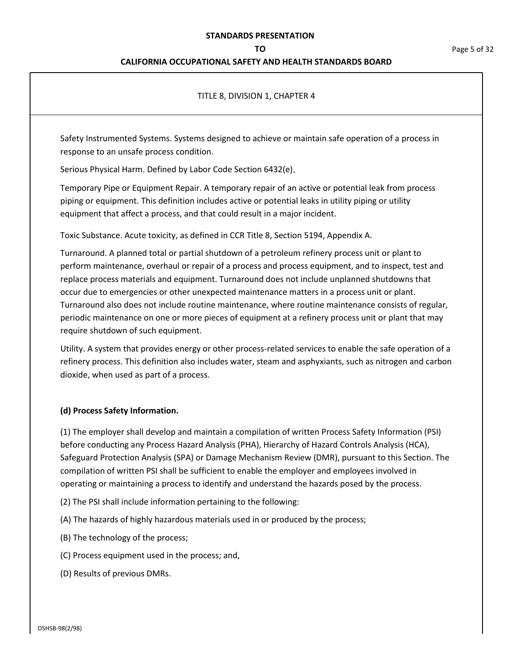## **CALIFORNIA OCCUPATIONAL SAFETY AND HEALTH STANDARDS BOARD**

## TITLE 8, DIVISION 1, CHAPTER 4

Safety Instrumented Systems. Systems designed to achieve or maintain safe operation of a process in response to an unsafe process condition.

Serious Physical Harm. Defined by Labor Code Section 6432(e).

Temporary Pipe or Equipment Repair. A temporary repair of an active or potential leak from process piping or equipment. This definition includes active or potential leaks in utility piping or utility equipment that affect a process, and that could result in a major incident.

Toxic Substance. Acute toxicity, as defined in CCR Title 8, Section 5194, Appendix A.

Turnaround. A planned total or partial shutdown of a petroleum refinery process unit or plant to perform maintenance, overhaul or repair of a process and process equipment, and to inspect, test and replace process materials and equipment. Turnaround does not include unplanned shutdowns that occur due to emergencies or other unexpected maintenance matters in a process unit or plant. Turnaround also does not include routine maintenance, where routine maintenance consists of regular, periodic maintenance on one or more pieces of equipment at a refinery process unit or plant that may require shutdown of such equipment.

Utility. A system that provides energy or other process-related services to enable the safe operation of a refinery process. This definition also includes water, steam and asphyxiants, such as nitrogen and carbon dioxide, when used as part of a process.

## **(d) Process Safety Information.**

(1) The employer shall develop and maintain a compilation of written Process Safety Information (PSI) before conducting any Process Hazard Analysis (PHA), Hierarchy of Hazard Controls Analysis (HCA), Safeguard Protection Analysis (SPA) or Damage Mechanism Review (DMR), pursuant to this Section. The compilation of written PSI shall be sufficient to enable the employer and employees involved in operating or maintaining a process to identify and understand the hazards posed by the process.

- (2) The PSI shall include information pertaining to the following:
- (A) The hazards of highly hazardous materials used in or produced by the process;
- (B) The technology of the process;
- (C) Process equipment used in the process; and,
- (D) Results of previous DMRs.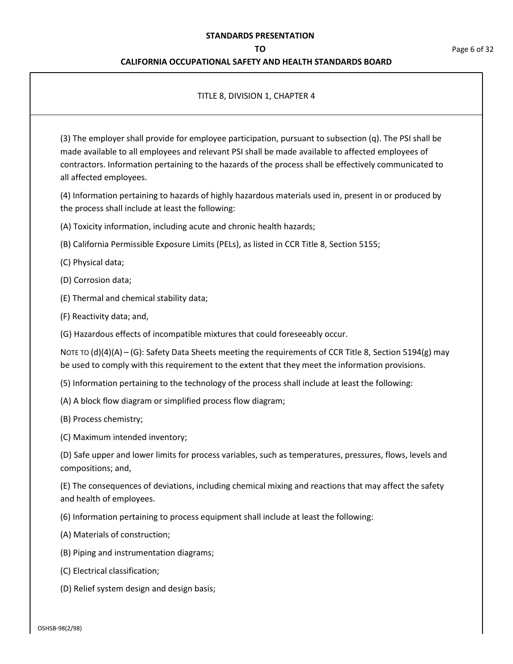## **CALIFORNIA OCCUPATIONAL SAFETY AND HEALTH STANDARDS BOARD**

## TITLE 8, DIVISION 1, CHAPTER 4

(3) The employer shall provide for employee participation, pursuant to subsection (q). The PSI shall be made available to all employees and relevant PSI shall be made available to affected employees of contractors. Information pertaining to the hazards of the process shall be effectively communicated to all affected employees.

(4) Information pertaining to hazards of highly hazardous materials used in, present in or produced by the process shall include at least the following:

- (A) Toxicity information, including acute and chronic health hazards;
- (B) California Permissible Exposure Limits (PELs), as listed in CCR Title 8, Section 5155;
- (C) Physical data;
- (D) Corrosion data;
- (E) Thermal and chemical stability data;
- (F) Reactivity data; and,
- (G) Hazardous effects of incompatible mixtures that could foreseeably occur.

NOTE TO  $(d)(4)(A) - (G)$ : Safety Data Sheets meeting the requirements of CCR Title 8, Section 5194(g) may be used to comply with this requirement to the extent that they meet the information provisions.

- (5) Information pertaining to the technology of the process shall include at least the following:
- (A) A block flow diagram or simplified process flow diagram;
- (B) Process chemistry;
- (C) Maximum intended inventory;

(D) Safe upper and lower limits for process variables, such as temperatures, pressures, flows, levels and compositions; and,

(E) The consequences of deviations, including chemical mixing and reactions that may affect the safety and health of employees.

- (6) Information pertaining to process equipment shall include at least the following:
- (A) Materials of construction;
- (B) Piping and instrumentation diagrams;
- (C) Electrical classification;
- (D) Relief system design and design basis;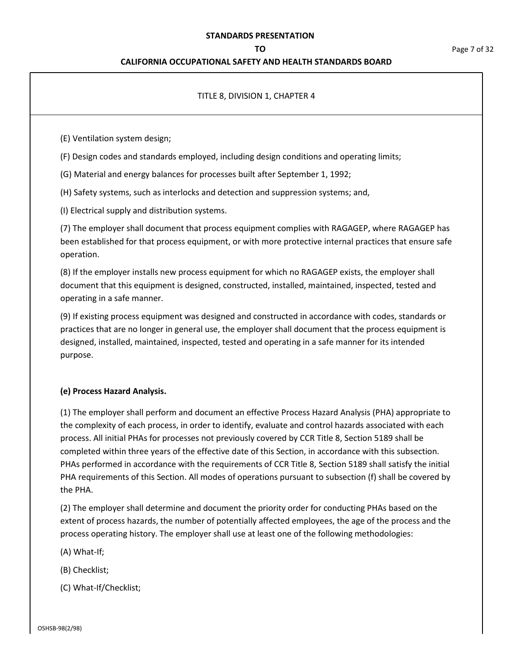## **CALIFORNIA OCCUPATIONAL SAFETY AND HEALTH STANDARDS BOARD**

## TITLE 8, DIVISION 1, CHAPTER 4

(E) Ventilation system design;

(F) Design codes and standards employed, including design conditions and operating limits;

(G) Material and energy balances for processes built after September 1, 1992;

(H) Safety systems, such as interlocks and detection and suppression systems; and,

(I) Electrical supply and distribution systems.

(7) The employer shall document that process equipment complies with RAGAGEP, where RAGAGEP has been established for that process equipment, or with more protective internal practices that ensure safe operation.

(8) If the employer installs new process equipment for which no RAGAGEP exists, the employer shall document that this equipment is designed, constructed, installed, maintained, inspected, tested and operating in a safe manner.

(9) If existing process equipment was designed and constructed in accordance with codes, standards or practices that are no longer in general use, the employer shall document that the process equipment is designed, installed, maintained, inspected, tested and operating in a safe manner for its intended purpose.

## **(e) Process Hazard Analysis.**

(1) The employer shall perform and document an effective Process Hazard Analysis (PHA) appropriate to the complexity of each process, in order to identify, evaluate and control hazards associated with each process. All initial PHAs for processes not previously covered by CCR Title 8, Section 5189 shall be completed within three years of the effective date of this Section, in accordance with this subsection. PHAs performed in accordance with the requirements of CCR Title 8, Section 5189 shall satisfy the initial PHA requirements of this Section. All modes of operations pursuant to subsection (f) shall be covered by the PHA.

(2) The employer shall determine and document the priority order for conducting PHAs based on the extent of process hazards, the number of potentially affected employees, the age of the process and the process operating history. The employer shall use at least one of the following methodologies:

(A) What-If;

(B) Checklist;

(C) What-If/Checklist;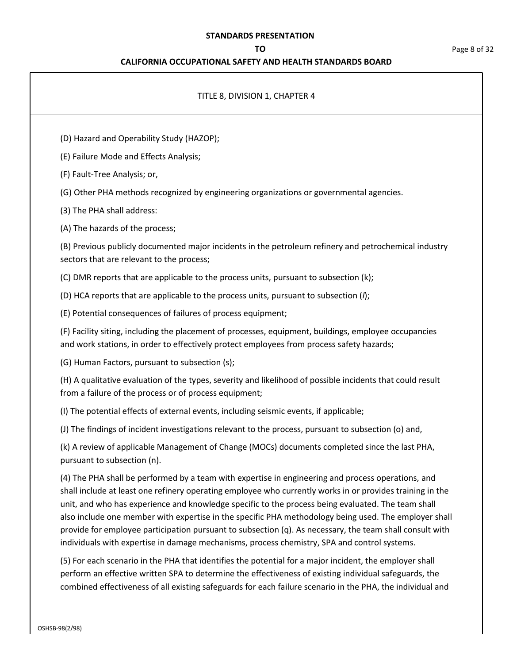## **CALIFORNIA OCCUPATIONAL SAFETY AND HEALTH STANDARDS BOARD**

| TITLE 8, DIVISION 1, CHAPTER 4                                                                                                                                                                                                                                                                                                                                                                                                                                                                                                                                                                                                             |
|--------------------------------------------------------------------------------------------------------------------------------------------------------------------------------------------------------------------------------------------------------------------------------------------------------------------------------------------------------------------------------------------------------------------------------------------------------------------------------------------------------------------------------------------------------------------------------------------------------------------------------------------|
| (D) Hazard and Operability Study (HAZOP);                                                                                                                                                                                                                                                                                                                                                                                                                                                                                                                                                                                                  |
| (E) Failure Mode and Effects Analysis;                                                                                                                                                                                                                                                                                                                                                                                                                                                                                                                                                                                                     |
| (F) Fault-Tree Analysis; or,                                                                                                                                                                                                                                                                                                                                                                                                                                                                                                                                                                                                               |
| (G) Other PHA methods recognized by engineering organizations or governmental agencies.                                                                                                                                                                                                                                                                                                                                                                                                                                                                                                                                                    |
| (3) The PHA shall address:                                                                                                                                                                                                                                                                                                                                                                                                                                                                                                                                                                                                                 |
| (A) The hazards of the process;                                                                                                                                                                                                                                                                                                                                                                                                                                                                                                                                                                                                            |
| (B) Previous publicly documented major incidents in the petroleum refinery and petrochemical industry<br>sectors that are relevant to the process;                                                                                                                                                                                                                                                                                                                                                                                                                                                                                         |
| (C) DMR reports that are applicable to the process units, pursuant to subsection (k);                                                                                                                                                                                                                                                                                                                                                                                                                                                                                                                                                      |
| (D) HCA reports that are applicable to the process units, pursuant to subsection $(l)$ ;                                                                                                                                                                                                                                                                                                                                                                                                                                                                                                                                                   |
| (E) Potential consequences of failures of process equipment;                                                                                                                                                                                                                                                                                                                                                                                                                                                                                                                                                                               |
| (F) Facility siting, including the placement of processes, equipment, buildings, employee occupancies<br>and work stations, in order to effectively protect employees from process safety hazards;                                                                                                                                                                                                                                                                                                                                                                                                                                         |
| (G) Human Factors, pursuant to subsection (s);                                                                                                                                                                                                                                                                                                                                                                                                                                                                                                                                                                                             |
| (H) A qualitative evaluation of the types, severity and likelihood of possible incidents that could result<br>from a failure of the process or of process equipment;                                                                                                                                                                                                                                                                                                                                                                                                                                                                       |
| (I) The potential effects of external events, including seismic events, if applicable;                                                                                                                                                                                                                                                                                                                                                                                                                                                                                                                                                     |
| (J) The findings of incident investigations relevant to the process, pursuant to subsection (o) and,                                                                                                                                                                                                                                                                                                                                                                                                                                                                                                                                       |
| (k) A review of applicable Management of Change (MOCs) documents completed since the last PHA,<br>pursuant to subsection (n).                                                                                                                                                                                                                                                                                                                                                                                                                                                                                                              |
| (4) The PHA shall be performed by a team with expertise in engineering and process operations, and<br>shall include at least one refinery operating employee who currently works in or provides training in the<br>unit, and who has experience and knowledge specific to the process being evaluated. The team shall<br>also include one member with expertise in the specific PHA methodology being used. The employer shall<br>provide for employee participation pursuant to subsection (q). As necessary, the team shall consult with<br>individuals with expertise in damage mechanisms, process chemistry, SPA and control systems. |
| (5) For each scenario in the PHA that identifies the potential for a major incident, the employer shall<br>perform an effective written SPA to determine the effectiveness of existing individual safeguards, the<br>combined effectiveness of all existing safeguards for each failure scenario in the PHA, the individual and                                                                                                                                                                                                                                                                                                            |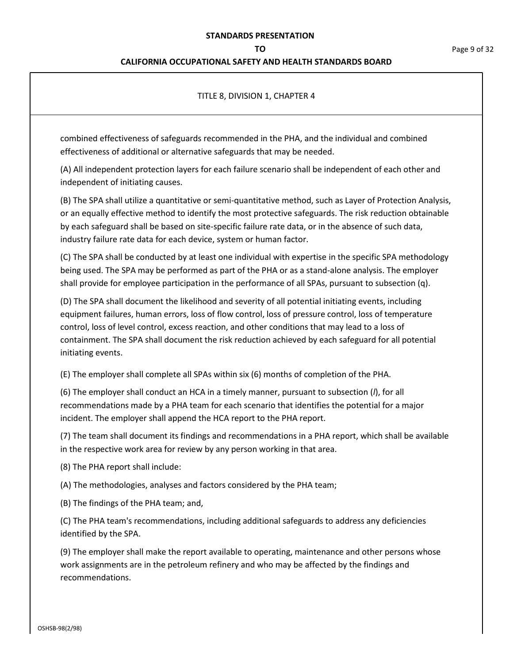### **CALIFORNIA OCCUPATIONAL SAFETY AND HEALTH STANDARDS BOARD**

### TITLE 8, DIVISION 1, CHAPTER 4

combined effectiveness of safeguards recommended in the PHA, and the individual and combined effectiveness of additional or alternative safeguards that may be needed.

(A) All independent protection layers for each failure scenario shall be independent of each other and independent of initiating causes.

(B) The SPA shall utilize a quantitative or semi-quantitative method, such as Layer of Protection Analysis, or an equally effective method to identify the most protective safeguards. The risk reduction obtainable by each safeguard shall be based on site-specific failure rate data, or in the absence of such data, industry failure rate data for each device, system or human factor.

(C) The SPA shall be conducted by at least one individual with expertise in the specific SPA methodology being used. The SPA may be performed as part of the PHA or as a stand-alone analysis. The employer shall provide for employee participation in the performance of all SPAs, pursuant to subsection (q).

(D) The SPA shall document the likelihood and severity of all potential initiating events, including equipment failures, human errors, loss of flow control, loss of pressure control, loss of temperature control, loss of level control, excess reaction, and other conditions that may lead to a loss of containment. The SPA shall document the risk reduction achieved by each safeguard for all potential initiating events.

(E) The employer shall complete all SPAs within six (6) months of completion of the PHA.

(6) The employer shall conduct an HCA in a timely manner, pursuant to subsection (*l*), for all recommendations made by a PHA team for each scenario that identifies the potential for a major incident. The employer shall append the HCA report to the PHA report.

(7) The team shall document its findings and recommendations in a PHA report, which shall be available in the respective work area for review by any person working in that area.

(8) The PHA report shall include:

(A) The methodologies, analyses and factors considered by the PHA team;

(B) The findings of the PHA team; and,

(C) The PHA team's recommendations, including additional safeguards to address any deficiencies identified by the SPA.

(9) The employer shall make the report available to operating, maintenance and other persons whose work assignments are in the petroleum refinery and who may be affected by the findings and recommendations.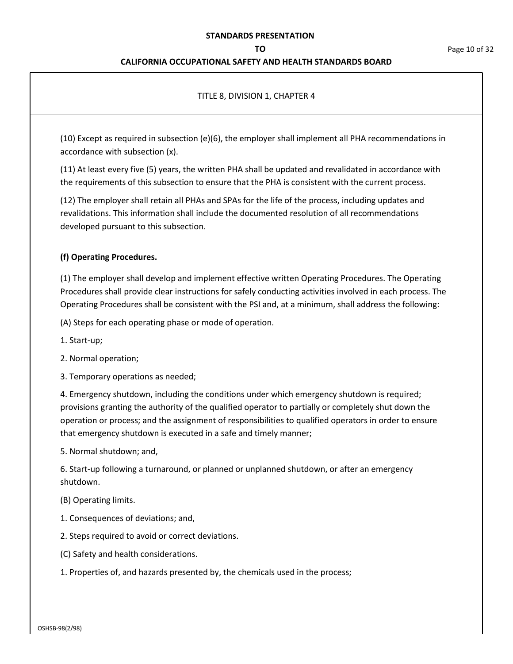#### **TO** Page 10 of 32

## **CALIFORNIA OCCUPATIONAL SAFETY AND HEALTH STANDARDS BOARD**

## TITLE 8, DIVISION 1, CHAPTER 4

(10) Except as required in subsection (e)(6), the employer shall implement all PHA recommendations in accordance with subsection (x).

(11) At least every five (5) years, the written PHA shall be updated and revalidated in accordance with the requirements of this subsection to ensure that the PHA is consistent with the current process.

(12) The employer shall retain all PHAs and SPAs for the life of the process, including updates and revalidations. This information shall include the documented resolution of all recommendations developed pursuant to this subsection.

## **(f) Operating Procedures.**

(1) The employer shall develop and implement effective written Operating Procedures. The Operating Procedures shall provide clear instructions for safely conducting activities involved in each process. The Operating Procedures shall be consistent with the PSI and, at a minimum, shall address the following:

(A) Steps for each operating phase or mode of operation.

- 1. Start-up;
- 2. Normal operation;

3. Temporary operations as needed;

4. Emergency shutdown, including the conditions under which emergency shutdown is required; provisions granting the authority of the qualified operator to partially or completely shut down the operation or process; and the assignment of responsibilities to qualified operators in order to ensure that emergency shutdown is executed in a safe and timely manner;

5. Normal shutdown; and,

6. Start-up following a turnaround, or planned or unplanned shutdown, or after an emergency shutdown.

- (B) Operating limits.
- 1. Consequences of deviations; and,
- 2. Steps required to avoid or correct deviations.
- (C) Safety and health considerations.
- 1. Properties of, and hazards presented by, the chemicals used in the process;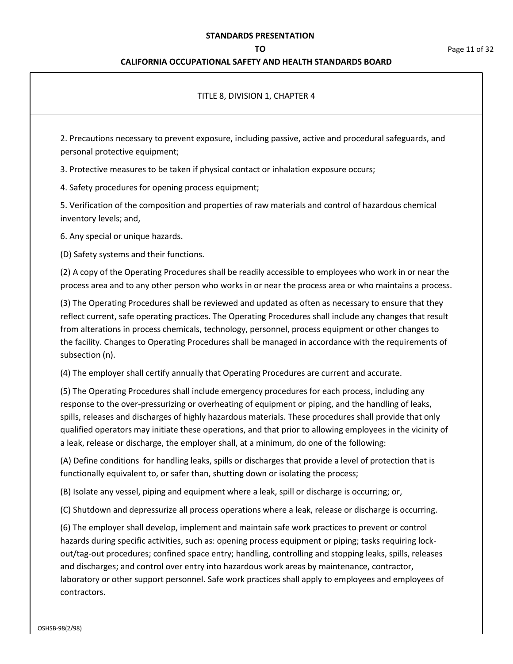## **CALIFORNIA OCCUPATIONAL SAFETY AND HEALTH STANDARDS BOARD**

## TITLE 8, DIVISION 1, CHAPTER 4

2. Precautions necessary to prevent exposure, including passive, active and procedural safeguards, and personal protective equipment;

3. Protective measures to be taken if physical contact or inhalation exposure occurs;

4. Safety procedures for opening process equipment;

5. Verification of the composition and properties of raw materials and control of hazardous chemical inventory levels; and,

6. Any special or unique hazards.

(D) Safety systems and their functions.

(2) A copy of the Operating Procedures shall be readily accessible to employees who work in or near the process area and to any other person who works in or near the process area or who maintains a process.

(3) The Operating Procedures shall be reviewed and updated as often as necessary to ensure that they reflect current, safe operating practices. The Operating Procedures shall include any changes that result from alterations in process chemicals, technology, personnel, process equipment or other changes to the facility. Changes to Operating Procedures shall be managed in accordance with the requirements of subsection (n).

(4) The employer shall certify annually that Operating Procedures are current and accurate.

(5) The Operating Procedures shall include emergency procedures for each process, including any response to the over-pressurizing or overheating of equipment or piping, and the handling of leaks, spills, releases and discharges of highly hazardous materials. These procedures shall provide that only qualified operators may initiate these operations, and that prior to allowing employees in the vicinity of a leak, release or discharge, the employer shall, at a minimum, do one of the following:

(A) Define conditions for handling leaks, spills or discharges that provide a level of protection that is functionally equivalent to, or safer than, shutting down or isolating the process;

(B) Isolate any vessel, piping and equipment where a leak, spill or discharge is occurring; or,

(C) Shutdown and depressurize all process operations where a leak, release or discharge is occurring.

(6) The employer shall develop, implement and maintain safe work practices to prevent or control hazards during specific activities, such as: opening process equipment or piping; tasks requiring lockout/tag-out procedures; confined space entry; handling, controlling and stopping leaks, spills, releases and discharges; and control over entry into hazardous work areas by maintenance, contractor, laboratory or other support personnel. Safe work practices shall apply to employees and employees of contractors.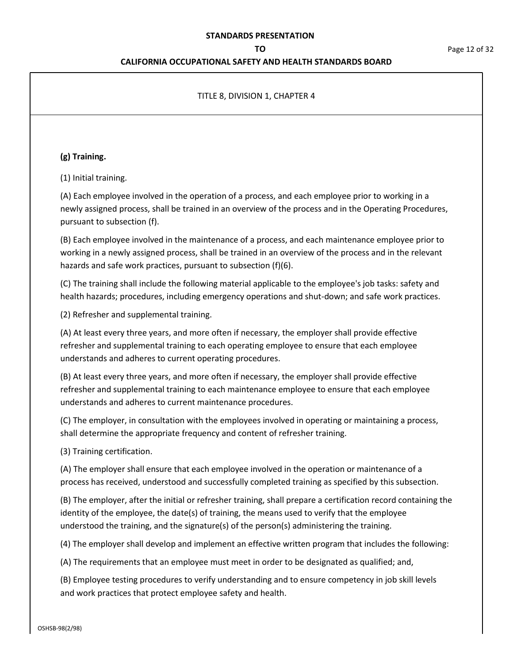## **CALIFORNIA OCCUPATIONAL SAFETY AND HEALTH STANDARDS BOARD**

## TITLE 8, DIVISION 1, CHAPTER 4

## **(g) Training.**

(1) Initial training.

(A) Each employee involved in the operation of a process, and each employee prior to working in a newly assigned process, shall be trained in an overview of the process and in the Operating Procedures, pursuant to subsection (f).

(B) Each employee involved in the maintenance of a process, and each maintenance employee prior to working in a newly assigned process, shall be trained in an overview of the process and in the relevant hazards and safe work practices, pursuant to subsection (f)(6).

(C) The training shall include the following material applicable to the employee's job tasks: safety and health hazards; procedures, including emergency operations and shut-down; and safe work practices.

(2) Refresher and supplemental training.

(A) At least every three years, and more often if necessary, the employer shall provide effective refresher and supplemental training to each operating employee to ensure that each employee understands and adheres to current operating procedures.

(B) At least every three years, and more often if necessary, the employer shall provide effective refresher and supplemental training to each maintenance employee to ensure that each employee understands and adheres to current maintenance procedures.

(C) The employer, in consultation with the employees involved in operating or maintaining a process, shall determine the appropriate frequency and content of refresher training.

(3) Training certification.

(A) The employer shall ensure that each employee involved in the operation or maintenance of a process has received, understood and successfully completed training as specified by this subsection.

(B) The employer, after the initial or refresher training, shall prepare a certification record containing the identity of the employee, the date(s) of training, the means used to verify that the employee understood the training, and the signature(s) of the person(s) administering the training.

(4) The employer shall develop and implement an effective written program that includes the following:

(A) The requirements that an employee must meet in order to be designated as qualified; and,

(B) Employee testing procedures to verify understanding and to ensure competency in job skill levels and work practices that protect employee safety and health.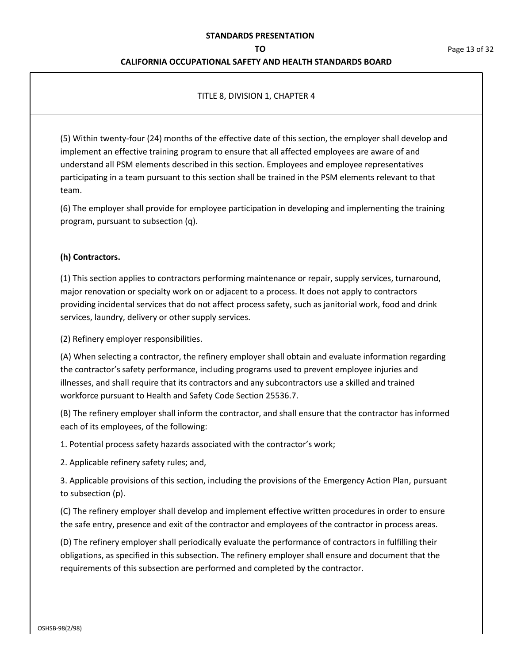### **CALIFORNIA OCCUPATIONAL SAFETY AND HEALTH STANDARDS BOARD**

### TITLE 8, DIVISION 1, CHAPTER 4

(5) Within twenty-four (24) months of the effective date of this section, the employer shall develop and implement an effective training program to ensure that all affected employees are aware of and understand all PSM elements described in this section. Employees and employee representatives participating in a team pursuant to this section shall be trained in the PSM elements relevant to that team.

(6) The employer shall provide for employee participation in developing and implementing the training program, pursuant to subsection (q).

## **(h) Contractors.**

(1) This section applies to contractors performing maintenance or repair, supply services, turnaround, major renovation or specialty work on or adjacent to a process. It does not apply to contractors providing incidental services that do not affect process safety, such as janitorial work, food and drink services, laundry, delivery or other supply services.

(2) Refinery employer responsibilities.

(A) When selecting a contractor, the refinery employer shall obtain and evaluate information regarding the contractor's safety performance, including programs used to prevent employee injuries and illnesses, and shall require that its contractors and any subcontractors use a skilled and trained workforce pursuant to Health and Safety Code Section 25536.7.

(B) The refinery employer shall inform the contractor, and shall ensure that the contractor has informed each of its employees, of the following:

1. Potential process safety hazards associated with the contractor's work;

2. Applicable refinery safety rules; and,

3. Applicable provisions of this section, including the provisions of the Emergency Action Plan, pursuant to subsection (p).

(C) The refinery employer shall develop and implement effective written procedures in order to ensure the safe entry, presence and exit of the contractor and employees of the contractor in process areas.

(D) The refinery employer shall periodically evaluate the performance of contractors in fulfilling their obligations, as specified in this subsection. The refinery employer shall ensure and document that the requirements of this subsection are performed and completed by the contractor.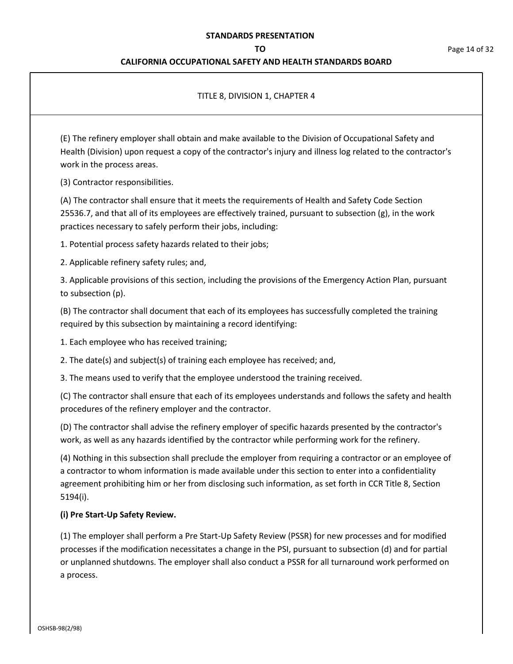## **CALIFORNIA OCCUPATIONAL SAFETY AND HEALTH STANDARDS BOARD**

## TITLE 8, DIVISION 1, CHAPTER 4

(E) The refinery employer shall obtain and make available to the Division of Occupational Safety and Health (Division) upon request a copy of the contractor's injury and illness log related to the contractor's work in the process areas.

(3) Contractor responsibilities.

(A) The contractor shall ensure that it meets the requirements of Health and Safety Code Section 25536.7, and that all of its employees are effectively trained, pursuant to subsection (g), in the work practices necessary to safely perform their jobs, including:

1. Potential process safety hazards related to their jobs;

2. Applicable refinery safety rules; and,

3. Applicable provisions of this section, including the provisions of the Emergency Action Plan, pursuant to subsection (p).

(B) The contractor shall document that each of its employees has successfully completed the training required by this subsection by maintaining a record identifying:

1. Each employee who has received training;

2. The date(s) and subject(s) of training each employee has received; and,

3. The means used to verify that the employee understood the training received.

(C) The contractor shall ensure that each of its employees understands and follows the safety and health procedures of the refinery employer and the contractor.

(D) The contractor shall advise the refinery employer of specific hazards presented by the contractor's work, as well as any hazards identified by the contractor while performing work for the refinery.

(4) Nothing in this subsection shall preclude the employer from requiring a contractor or an employee of a contractor to whom information is made available under this section to enter into a confidentiality agreement prohibiting him or her from disclosing such information, as set forth in CCR Title 8, Section 5194(i).

## **(i) Pre Start-Up Safety Review.**

(1) The employer shall perform a Pre Start-Up Safety Review (PSSR) for new processes and for modified processes if the modification necessitates a change in the PSI, pursuant to subsection (d) and for partial or unplanned shutdowns. The employer shall also conduct a PSSR for all turnaround work performed on a process.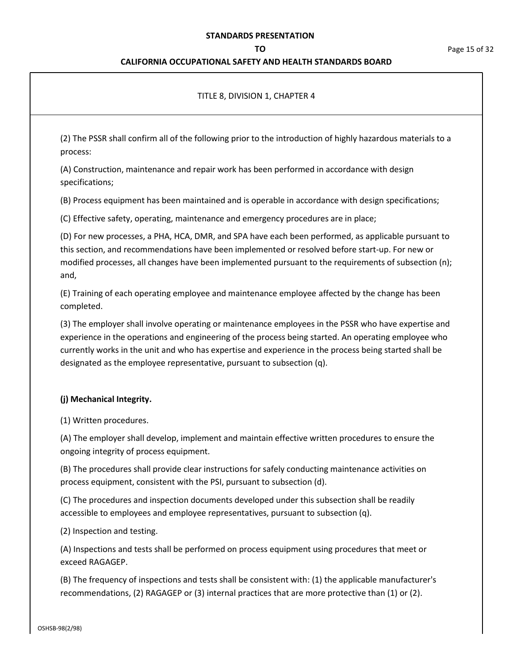## **CALIFORNIA OCCUPATIONAL SAFETY AND HEALTH STANDARDS BOARD**

## TITLE 8, DIVISION 1, CHAPTER 4

(2) The PSSR shall confirm all of the following prior to the introduction of highly hazardous materials to a process:

(A) Construction, maintenance and repair work has been performed in accordance with design specifications;

(B) Process equipment has been maintained and is operable in accordance with design specifications;

(C) Effective safety, operating, maintenance and emergency procedures are in place;

(D) For new processes, a PHA, HCA, DMR, and SPA have each been performed, as applicable pursuant to this section, and recommendations have been implemented or resolved before start-up. For new or modified processes, all changes have been implemented pursuant to the requirements of subsection (n); and,

(E) Training of each operating employee and maintenance employee affected by the change has been completed.

(3) The employer shall involve operating or maintenance employees in the PSSR who have expertise and experience in the operations and engineering of the process being started. An operating employee who currently works in the unit and who has expertise and experience in the process being started shall be designated as the employee representative, pursuant to subsection (q).

#### **(j) Mechanical Integrity.**

(1) Written procedures.

(A) The employer shall develop, implement and maintain effective written procedures to ensure the ongoing integrity of process equipment.

(B) The procedures shall provide clear instructions for safely conducting maintenance activities on process equipment, consistent with the PSI, pursuant to subsection (d).

(C) The procedures and inspection documents developed under this subsection shall be readily accessible to employees and employee representatives, pursuant to subsection (q).

(2) Inspection and testing.

(A) Inspections and tests shall be performed on process equipment using procedures that meet or exceed RAGAGEP.

(B) The frequency of inspections and tests shall be consistent with: (1) the applicable manufacturer's recommendations, (2) RAGAGEP or (3) internal practices that are more protective than (1) or (2).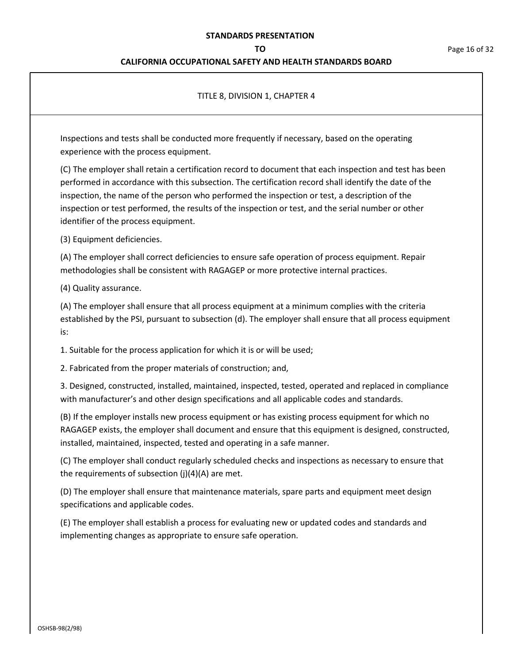### **CALIFORNIA OCCUPATIONAL SAFETY AND HEALTH STANDARDS BOARD**

## TITLE 8, DIVISION 1, CHAPTER 4

Inspections and tests shall be conducted more frequently if necessary, based on the operating experience with the process equipment.

(C) The employer shall retain a certification record to document that each inspection and test has been performed in accordance with this subsection. The certification record shall identify the date of the inspection, the name of the person who performed the inspection or test, a description of the inspection or test performed, the results of the inspection or test, and the serial number or other identifier of the process equipment.

(3) Equipment deficiencies.

(A) The employer shall correct deficiencies to ensure safe operation of process equipment. Repair methodologies shall be consistent with RAGAGEP or more protective internal practices.

(4) Quality assurance.

(A) The employer shall ensure that all process equipment at a minimum complies with the criteria established by the PSI, pursuant to subsection (d). The employer shall ensure that all process equipment is:

1. Suitable for the process application for which it is or will be used;

2. Fabricated from the proper materials of construction; and,

3. Designed, constructed, installed, maintained, inspected, tested, operated and replaced in compliance with manufacturer's and other design specifications and all applicable codes and standards.

(B) If the employer installs new process equipment or has existing process equipment for which no RAGAGEP exists, the employer shall document and ensure that this equipment is designed, constructed, installed, maintained, inspected, tested and operating in a safe manner.

(C) The employer shall conduct regularly scheduled checks and inspections as necessary to ensure that the requirements of subsection  $(j)(4)(A)$  are met.

(D) The employer shall ensure that maintenance materials, spare parts and equipment meet design specifications and applicable codes.

(E) The employer shall establish a process for evaluating new or updated codes and standards and implementing changes as appropriate to ensure safe operation.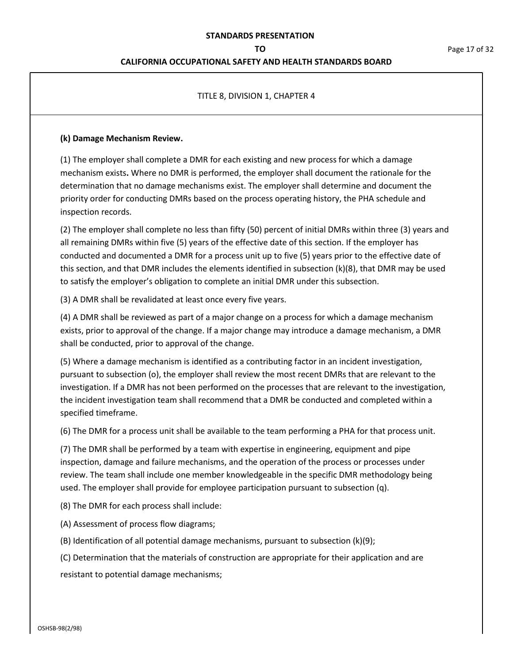## **CALIFORNIA OCCUPATIONAL SAFETY AND HEALTH STANDARDS BOARD**

## TITLE 8, DIVISION 1, CHAPTER 4

### **(k) Damage Mechanism Review.**

(1) The employer shall complete a DMR for each existing and new process for which a damage mechanism exists**.** Where no DMR is performed, the employer shall document the rationale for the determination that no damage mechanisms exist. The employer shall determine and document the priority order for conducting DMRs based on the process operating history, the PHA schedule and inspection records.

(2) The employer shall complete no less than fifty (50) percent of initial DMRs within three (3) years and all remaining DMRs within five (5) years of the effective date of this section. If the employer has conducted and documented a DMR for a process unit up to five (5) years prior to the effective date of this section, and that DMR includes the elements identified in subsection (k)(8), that DMR may be used to satisfy the employer's obligation to complete an initial DMR under this subsection.

(3) A DMR shall be revalidated at least once every five years.

(4) A DMR shall be reviewed as part of a major change on a process for which a damage mechanism exists, prior to approval of the change. If a major change may introduce a damage mechanism, a DMR shall be conducted, prior to approval of the change.

(5) Where a damage mechanism is identified as a contributing factor in an incident investigation, pursuant to subsection (o), the employer shall review the most recent DMRs that are relevant to the investigation. If a DMR has not been performed on the processes that are relevant to the investigation, the incident investigation team shall recommend that a DMR be conducted and completed within a specified timeframe.

(6) The DMR for a process unit shall be available to the team performing a PHA for that process unit.

(7) The DMR shall be performed by a team with expertise in engineering, equipment and pipe inspection, damage and failure mechanisms, and the operation of the process or processes under review. The team shall include one member knowledgeable in the specific DMR methodology being used. The employer shall provide for employee participation pursuant to subsection (q).

(8) The DMR for each process shall include:

(A) Assessment of process flow diagrams;

(B) Identification of all potential damage mechanisms, pursuant to subsection (k)(9);

(C) Determination that the materials of construction are appropriate for their application and are resistant to potential damage mechanisms;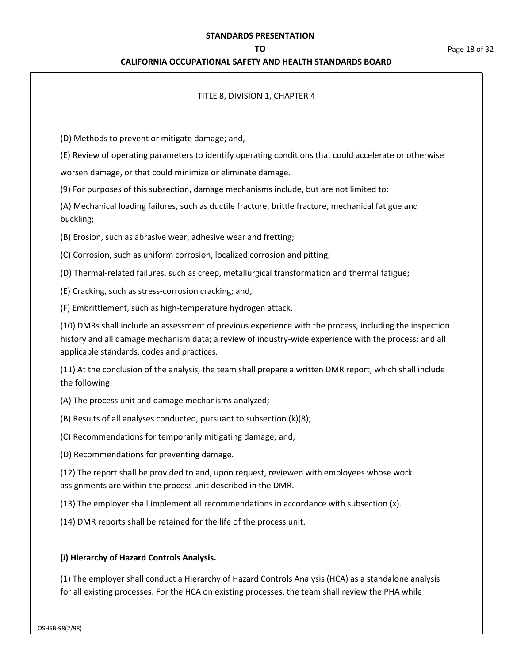## **CALIFORNIA OCCUPATIONAL SAFETY AND HEALTH STANDARDS BOARD**

## TITLE 8, DIVISION 1, CHAPTER 4

(D) Methods to prevent or mitigate damage; and,

(E) Review of operating parameters to identify operating conditions that could accelerate or otherwise

worsen damage, or that could minimize or eliminate damage.

(9) For purposes of this subsection, damage mechanisms include, but are not limited to:

(A) Mechanical loading failures, such as ductile fracture, brittle fracture, mechanical fatigue and buckling;

(B) Erosion, such as abrasive wear, adhesive wear and fretting;

(C) Corrosion, such as uniform corrosion, localized corrosion and pitting;

(D) Thermal-related failures, such as creep, metallurgical transformation and thermal fatigue;

(E) Cracking, such as stress-corrosion cracking; and,

(F) Embrittlement, such as high-temperature hydrogen attack.

(10) DMRs shall include an assessment of previous experience with the process, including the inspection history and all damage mechanism data; a review of industry-wide experience with the process; and all applicable standards, codes and practices.

(11) At the conclusion of the analysis, the team shall prepare a written DMR report, which shall include the following:

(A) The process unit and damage mechanisms analyzed;

(B) Results of all analyses conducted, pursuant to subsection (k)(8);

(C) Recommendations for temporarily mitigating damage; and,

(D) Recommendations for preventing damage.

(12) The report shall be provided to and, upon request, reviewed with employees whose work assignments are within the process unit described in the DMR.

(13) The employer shall implement all recommendations in accordance with subsection (x).

(14) DMR reports shall be retained for the life of the process unit.

#### **(***l***) Hierarchy of Hazard Controls Analysis.**

(1) The employer shall conduct a Hierarchy of Hazard Controls Analysis (HCA) as a standalone analysis for all existing processes. For the HCA on existing processes, the team shall review the PHA while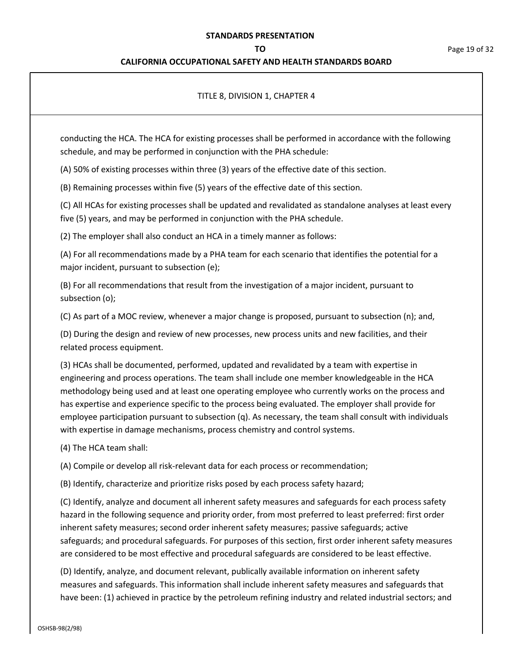## **CALIFORNIA OCCUPATIONAL SAFETY AND HEALTH STANDARDS BOARD**

## TITLE 8, DIVISION 1, CHAPTER 4

conducting the HCA. The HCA for existing processes shall be performed in accordance with the following schedule, and may be performed in conjunction with the PHA schedule:

(A) 50% of existing processes within three (3) years of the effective date of this section.

(B) Remaining processes within five (5) years of the effective date of this section.

(C) All HCAs for existing processes shall be updated and revalidated as standalone analyses at least every five (5) years, and may be performed in conjunction with the PHA schedule.

(2) The employer shall also conduct an HCA in a timely manner as follows:

(A) For all recommendations made by a PHA team for each scenario that identifies the potential for a major incident, pursuant to subsection (e);

(B) For all recommendations that result from the investigation of a major incident, pursuant to subsection (o);

(C) As part of a MOC review, whenever a major change is proposed, pursuant to subsection (n); and,

(D) During the design and review of new processes, new process units and new facilities, and their related process equipment.

(3) HCAs shall be documented, performed, updated and revalidated by a team with expertise in engineering and process operations. The team shall include one member knowledgeable in the HCA methodology being used and at least one operating employee who currently works on the process and has expertise and experience specific to the process being evaluated. The employer shall provide for employee participation pursuant to subsection (q). As necessary, the team shall consult with individuals with expertise in damage mechanisms, process chemistry and control systems.

(4) The HCA team shall:

(A) Compile or develop all risk-relevant data for each process or recommendation;

(B) Identify, characterize and prioritize risks posed by each process safety hazard;

(C) Identify, analyze and document all inherent safety measures and safeguards for each process safety hazard in the following sequence and priority order, from most preferred to least preferred: first order inherent safety measures; second order inherent safety measures; passive safeguards; active safeguards; and procedural safeguards. For purposes of this section, first order inherent safety measures are considered to be most effective and procedural safeguards are considered to be least effective.

(D) Identify, analyze, and document relevant, publically available information on inherent safety measures and safeguards. This information shall include inherent safety measures and safeguards that have been: (1) achieved in practice by the petroleum refining industry and related industrial sectors; and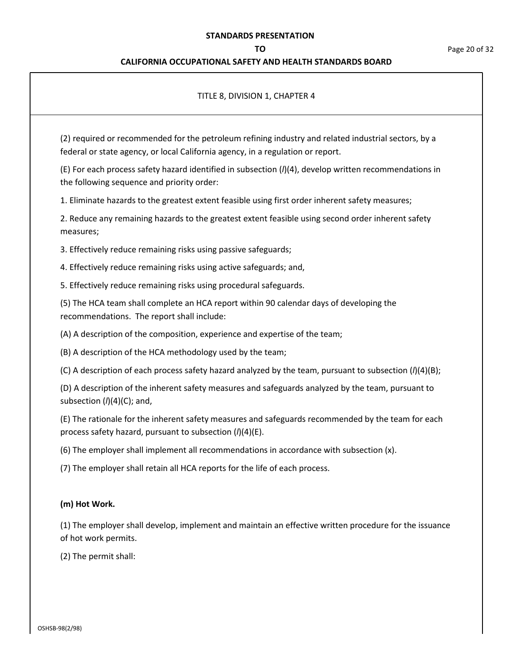## **CALIFORNIA OCCUPATIONAL SAFETY AND HEALTH STANDARDS BOARD**

## TITLE 8, DIVISION 1, CHAPTER 4

(2) required or recommended for the petroleum refining industry and related industrial sectors, by a federal or state agency, or local California agency, in a regulation or report.

(E) For each process safety hazard identified in subsection (*l*)(4), develop written recommendations in the following sequence and priority order:

1. Eliminate hazards to the greatest extent feasible using first order inherent safety measures;

2. Reduce any remaining hazards to the greatest extent feasible using second order inherent safety measures;

3. Effectively reduce remaining risks using passive safeguards;

4. Effectively reduce remaining risks using active safeguards; and,

5. Effectively reduce remaining risks using procedural safeguards.

(5) The HCA team shall complete an HCA report within 90 calendar days of developing the recommendations. The report shall include:

(A) A description of the composition, experience and expertise of the team;

(B) A description of the HCA methodology used by the team;

(C) A description of each process safety hazard analyzed by the team, pursuant to subsection (*l*)(4)(B);

(D) A description of the inherent safety measures and safeguards analyzed by the team, pursuant to subsection (*l*)(4)(C); and,

(E) The rationale for the inherent safety measures and safeguards recommended by the team for each process safety hazard, pursuant to subsection (*l*)(4)(E).

(6) The employer shall implement all recommendations in accordance with subsection (x).

(7) The employer shall retain all HCA reports for the life of each process.

## **(m) Hot Work.**

(1) The employer shall develop, implement and maintain an effective written procedure for the issuance of hot work permits.

(2) The permit shall: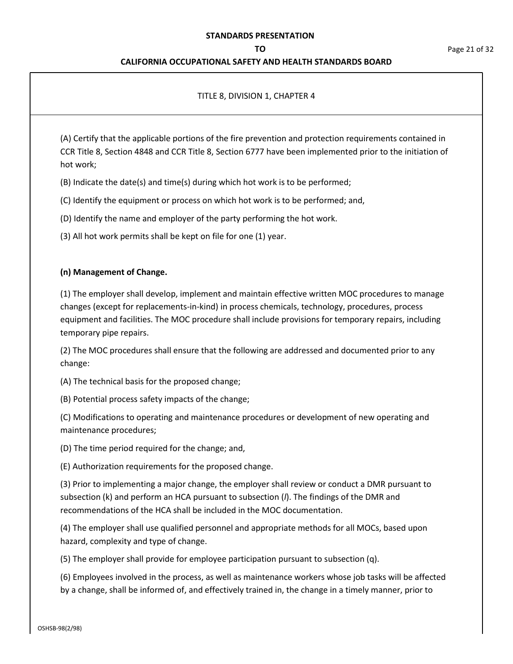## **CALIFORNIA OCCUPATIONAL SAFETY AND HEALTH STANDARDS BOARD**

## TITLE 8, DIVISION 1, CHAPTER 4

(A) Certify that the applicable portions of the fire prevention and protection requirements contained in CCR Title 8, Section 4848 and CCR Title 8, Section 6777 have been implemented prior to the initiation of hot work;

(B) Indicate the date(s) and time(s) during which hot work is to be performed;

(C) Identify the equipment or process on which hot work is to be performed; and,

(D) Identify the name and employer of the party performing the hot work.

(3) All hot work permits shall be kept on file for one (1) year.

#### **(n) Management of Change.**

(1) The employer shall develop, implement and maintain effective written MOC procedures to manage changes (except for replacements-in-kind) in process chemicals, technology, procedures, process equipment and facilities. The MOC procedure shall include provisions for temporary repairs, including temporary pipe repairs.

(2) The MOC procedures shall ensure that the following are addressed and documented prior to any change:

(A) The technical basis for the proposed change;

(B) Potential process safety impacts of the change;

(C) Modifications to operating and maintenance procedures or development of new operating and maintenance procedures;

(D) The time period required for the change; and,

(E) Authorization requirements for the proposed change.

(3) Prior to implementing a major change, the employer shall review or conduct a DMR pursuant to subsection (k) and perform an HCA pursuant to subsection (*l*). The findings of the DMR and recommendations of the HCA shall be included in the MOC documentation.

(4) The employer shall use qualified personnel and appropriate methods for all MOCs, based upon hazard, complexity and type of change.

(5) The employer shall provide for employee participation pursuant to subsection (q).

(6) Employees involved in the process, as well as maintenance workers whose job tasks will be affected by a change, shall be informed of, and effectively trained in, the change in a timely manner, prior to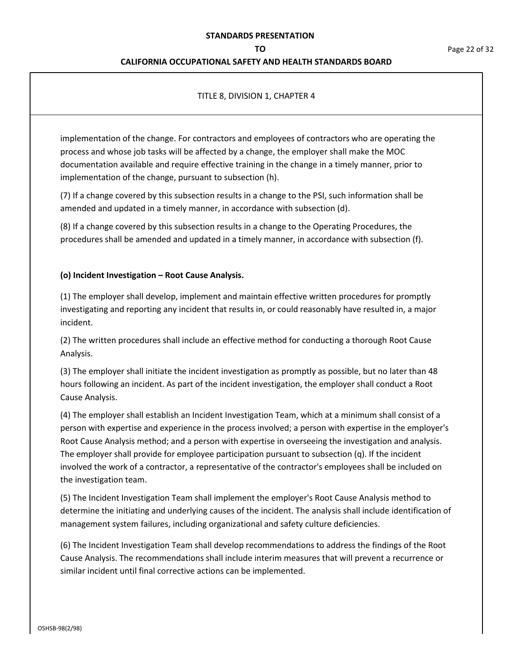#### **CALIFORNIA OCCUPATIONAL SAFETY AND HEALTH STANDARDS BOARD**

## TITLE 8, DIVISION 1, CHAPTER 4

implementation of the change. For contractors and employees of contractors who are operating the process and whose job tasks will be affected by a change, the employer shall make the MOC documentation available and require effective training in the change in a timely manner, prior to implementation of the change, pursuant to subsection (h).

(7) If a change covered by this subsection results in a change to the PSI, such information shall be amended and updated in a timely manner, in accordance with subsection (d).

(8) If a change covered by this subsection results in a change to the Operating Procedures, the procedures shall be amended and updated in a timely manner, in accordance with subsection (f).

## **(o) Incident Investigation – Root Cause Analysis.**

(1) The employer shall develop, implement and maintain effective written procedures for promptly investigating and reporting any incident that results in, or could reasonably have resulted in, a major incident.

(2) The written procedures shall include an effective method for conducting a thorough Root Cause Analysis.

(3) The employer shall initiate the incident investigation as promptly as possible, but no later than 48 hours following an incident. As part of the incident investigation, the employer shall conduct a Root Cause Analysis.

(4) The employer shall establish an Incident Investigation Team, which at a minimum shall consist of a person with expertise and experience in the process involved; a person with expertise in the employer's Root Cause Analysis method; and a person with expertise in overseeing the investigation and analysis. The employer shall provide for employee participation pursuant to subsection (q). If the incident involved the work of a contractor, a representative of the contractor's employees shall be included on the investigation team.

(5) The Incident Investigation Team shall implement the employer's Root Cause Analysis method to determine the initiating and underlying causes of the incident. The analysis shall include identification of management system failures, including organizational and safety culture deficiencies.

(6) The Incident Investigation Team shall develop recommendations to address the findings of the Root Cause Analysis. The recommendations shall include interim measures that will prevent a recurrence or similar incident until final corrective actions can be implemented.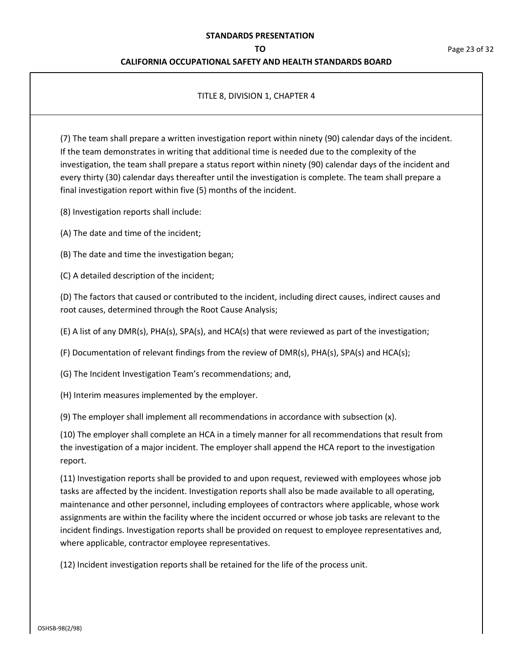## **CALIFORNIA OCCUPATIONAL SAFETY AND HEALTH STANDARDS BOARD**

## TITLE 8, DIVISION 1, CHAPTER 4

(7) The team shall prepare a written investigation report within ninety (90) calendar days of the incident. If the team demonstrates in writing that additional time is needed due to the complexity of the investigation, the team shall prepare a status report within ninety (90) calendar days of the incident and every thirty (30) calendar days thereafter until the investigation is complete. The team shall prepare a final investigation report within five (5) months of the incident.

(8) Investigation reports shall include:

(A) The date and time of the incident;

(B) The date and time the investigation began;

(C) A detailed description of the incident;

(D) The factors that caused or contributed to the incident, including direct causes, indirect causes and root causes, determined through the Root Cause Analysis;

(E) A list of any DMR(s), PHA(s), SPA(s), and HCA(s) that were reviewed as part of the investigation;

(F) Documentation of relevant findings from the review of DMR(s), PHA(s), SPA(s) and HCA(s);

(G) The Incident Investigation Team's recommendations; and,

(H) Interim measures implemented by the employer.

(9) The employer shall implement all recommendations in accordance with subsection (x).

(10) The employer shall complete an HCA in a timely manner for all recommendations that result from the investigation of a major incident. The employer shall append the HCA report to the investigation report.

(11) Investigation reports shall be provided to and upon request, reviewed with employees whose job tasks are affected by the incident. Investigation reports shall also be made available to all operating, maintenance and other personnel, including employees of contractors where applicable, whose work assignments are within the facility where the incident occurred or whose job tasks are relevant to the incident findings. Investigation reports shall be provided on request to employee representatives and, where applicable, contractor employee representatives.

(12) Incident investigation reports shall be retained for the life of the process unit.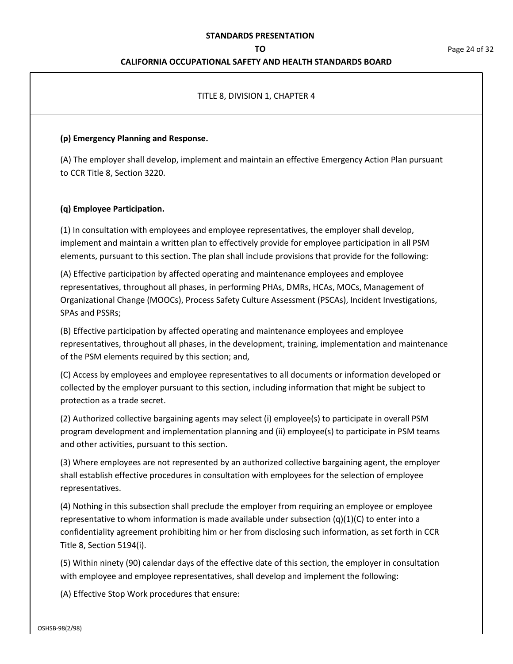## **CALIFORNIA OCCUPATIONAL SAFETY AND HEALTH STANDARDS BOARD**

## TITLE 8, DIVISION 1, CHAPTER 4

### **(p) Emergency Planning and Response.**

(A) The employer shall develop, implement and maintain an effective Emergency Action Plan pursuant to CCR Title 8, Section 3220.

## **(q) Employee Participation.**

(1) In consultation with employees and employee representatives, the employer shall develop, implement and maintain a written plan to effectively provide for employee participation in all PSM elements, pursuant to this section. The plan shall include provisions that provide for the following:

(A) Effective participation by affected operating and maintenance employees and employee representatives, throughout all phases, in performing PHAs, DMRs, HCAs, MOCs, Management of Organizational Change (MOOCs), Process Safety Culture Assessment (PSCAs), Incident Investigations, SPAs and PSSRs;

(B) Effective participation by affected operating and maintenance employees and employee representatives, throughout all phases, in the development, training, implementation and maintenance of the PSM elements required by this section; and,

(C) Access by employees and employee representatives to all documents or information developed or collected by the employer pursuant to this section, including information that might be subject to protection as a trade secret.

(2) Authorized collective bargaining agents may select (i) employee(s) to participate in overall PSM program development and implementation planning and (ii) employee(s) to participate in PSM teams and other activities, pursuant to this section.

(3) Where employees are not represented by an authorized collective bargaining agent, the employer shall establish effective procedures in consultation with employees for the selection of employee representatives.

(4) Nothing in this subsection shall preclude the employer from requiring an employee or employee representative to whom information is made available under subsection  $(q)(1)(C)$  to enter into a confidentiality agreement prohibiting him or her from disclosing such information, as set forth in CCR Title 8, Section 5194(i).

(5) Within ninety (90) calendar days of the effective date of this section, the employer in consultation with employee and employee representatives, shall develop and implement the following:

(A) Effective Stop Work procedures that ensure: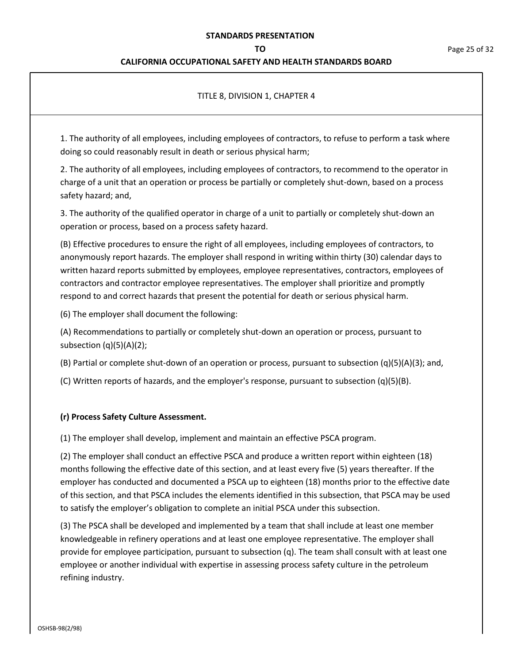## **CALIFORNIA OCCUPATIONAL SAFETY AND HEALTH STANDARDS BOARD**

### TITLE 8, DIVISION 1, CHAPTER 4

1. The authority of all employees, including employees of contractors, to refuse to perform a task where doing so could reasonably result in death or serious physical harm;

2. The authority of all employees, including employees of contractors, to recommend to the operator in charge of a unit that an operation or process be partially or completely shut-down, based on a process safety hazard; and,

3. The authority of the qualified operator in charge of a unit to partially or completely shut-down an operation or process, based on a process safety hazard.

(B) Effective procedures to ensure the right of all employees, including employees of contractors, to anonymously report hazards. The employer shall respond in writing within thirty (30) calendar days to written hazard reports submitted by employees, employee representatives, contractors, employees of contractors and contractor employee representatives. The employer shall prioritize and promptly respond to and correct hazards that present the potential for death or serious physical harm.

(6) The employer shall document the following:

(A) Recommendations to partially or completely shut-down an operation or process, pursuant to subsection (q)(5)(A)(2);

(B) Partial or complete shut-down of an operation or process, pursuant to subsection (q)(5)(A)(3); and,

(C) Written reports of hazards, and the employer's response, pursuant to subsection (q)(5)(B).

#### **(r) Process Safety Culture Assessment.**

(1) The employer shall develop, implement and maintain an effective PSCA program.

(2) The employer shall conduct an effective PSCA and produce a written report within eighteen (18) months following the effective date of this section, and at least every five (5) years thereafter. If the employer has conducted and documented a PSCA up to eighteen (18) months prior to the effective date of this section, and that PSCA includes the elements identified in this subsection, that PSCA may be used to satisfy the employer's obligation to complete an initial PSCA under this subsection.

(3) The PSCA shall be developed and implemented by a team that shall include at least one member knowledgeable in refinery operations and at least one employee representative. The employer shall provide for employee participation, pursuant to subsection (q). The team shall consult with at least one employee or another individual with expertise in assessing process safety culture in the petroleum refining industry.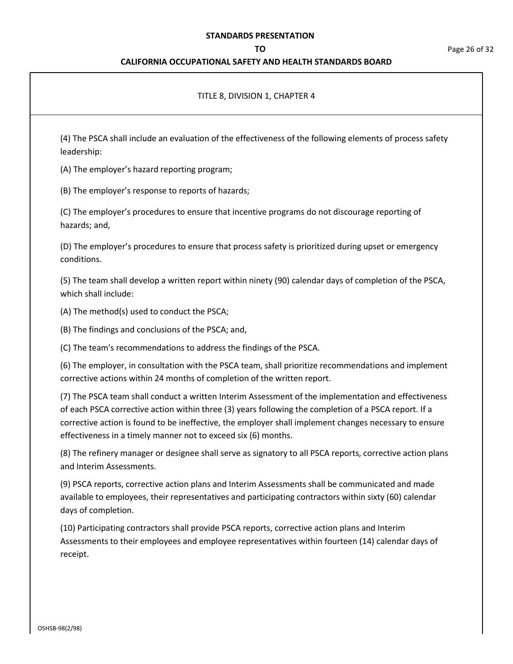## **CALIFORNIA OCCUPATIONAL SAFETY AND HEALTH STANDARDS BOARD**

#### **TO** Page 26 of 32

## TITLE 8, DIVISION 1, CHAPTER 4

(4) The PSCA shall include an evaluation of the effectiveness of the following elements of process safety leadership:

(A) The employer's hazard reporting program;

(B) The employer's response to reports of hazards;

(C) The employer's procedures to ensure that incentive programs do not discourage reporting of hazards; and,

(D) The employer's procedures to ensure that process safety is prioritized during upset or emergency conditions.

(5) The team shall develop a written report within ninety (90) calendar days of completion of the PSCA, which shall include:

(A) The method(s) used to conduct the PSCA;

(B) The findings and conclusions of the PSCA; and,

(C) The team's recommendations to address the findings of the PSCA.

(6) The employer, in consultation with the PSCA team, shall prioritize recommendations and implement corrective actions within 24 months of completion of the written report.

(7) The PSCA team shall conduct a written Interim Assessment of the implementation and effectiveness of each PSCA corrective action within three (3) years following the completion of a PSCA report. If a corrective action is found to be ineffective, the employer shall implement changes necessary to ensure effectiveness in a timely manner not to exceed six (6) months.

(8) The refinery manager or designee shall serve as signatory to all PSCA reports, corrective action plans and Interim Assessments.

(9) PSCA reports, corrective action plans and Interim Assessments shall be communicated and made available to employees, their representatives and participating contractors within sixty (60) calendar days of completion.

(10) Participating contractors shall provide PSCA reports, corrective action plans and Interim Assessments to their employees and employee representatives within fourteen (14) calendar days of receipt.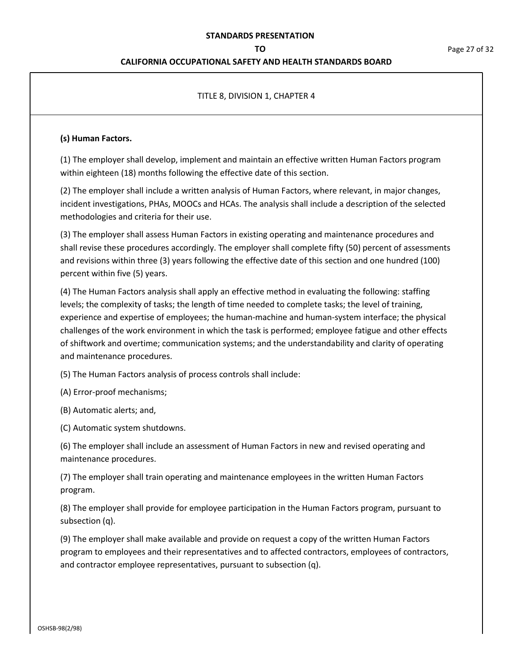## **CALIFORNIA OCCUPATIONAL SAFETY AND HEALTH STANDARDS BOARD**

## TITLE 8, DIVISION 1, CHAPTER 4

### **(s) Human Factors.**

(1) The employer shall develop, implement and maintain an effective written Human Factors program within eighteen (18) months following the effective date of this section.

(2) The employer shall include a written analysis of Human Factors, where relevant, in major changes, incident investigations, PHAs, MOOCs and HCAs. The analysis shall include a description of the selected methodologies and criteria for their use.

(3) The employer shall assess Human Factors in existing operating and maintenance procedures and shall revise these procedures accordingly. The employer shall complete fifty (50) percent of assessments and revisions within three (3) years following the effective date of this section and one hundred (100) percent within five (5) years.

(4) The Human Factors analysis shall apply an effective method in evaluating the following: staffing levels; the complexity of tasks; the length of time needed to complete tasks; the level of training, experience and expertise of employees; the human-machine and human-system interface; the physical challenges of the work environment in which the task is performed; employee fatigue and other effects of shiftwork and overtime; communication systems; and the understandability and clarity of operating and maintenance procedures.

(5) The Human Factors analysis of process controls shall include:

(A) Error-proof mechanisms;

(B) Automatic alerts; and,

(C) Automatic system shutdowns.

(6) The employer shall include an assessment of Human Factors in new and revised operating and maintenance procedures.

(7) The employer shall train operating and maintenance employees in the written Human Factors program.

(8) The employer shall provide for employee participation in the Human Factors program, pursuant to subsection (q).

(9) The employer shall make available and provide on request a copy of the written Human Factors program to employees and their representatives and to affected contractors, employees of contractors, and contractor employee representatives, pursuant to subsection (q).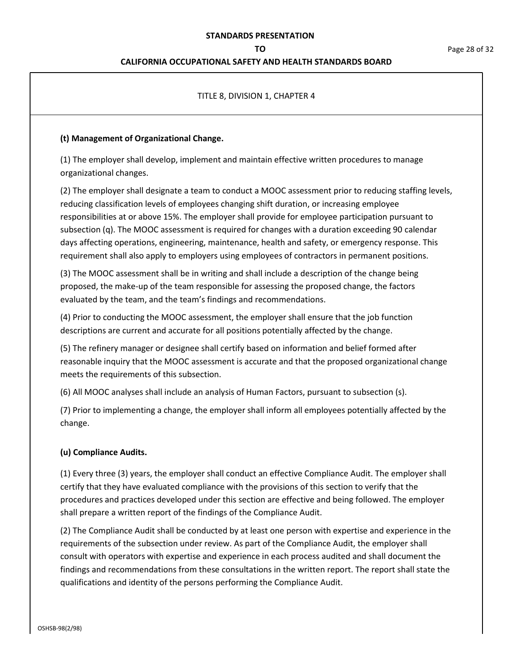## **CALIFORNIA OCCUPATIONAL SAFETY AND HEALTH STANDARDS BOARD**

## TITLE 8, DIVISION 1, CHAPTER 4

### **(t) Management of Organizational Change.**

(1) The employer shall develop, implement and maintain effective written procedures to manage organizational changes.

(2) The employer shall designate a team to conduct a MOOC assessment prior to reducing staffing levels, reducing classification levels of employees changing shift duration, or increasing employee responsibilities at or above 15%. The employer shall provide for employee participation pursuant to subsection (q). The MOOC assessment is required for changes with a duration exceeding 90 calendar days affecting operations, engineering, maintenance, health and safety, or emergency response. This requirement shall also apply to employers using employees of contractors in permanent positions.

(3) The MOOC assessment shall be in writing and shall include a description of the change being proposed, the make-up of the team responsible for assessing the proposed change, the factors evaluated by the team, and the team's findings and recommendations.

(4) Prior to conducting the MOOC assessment, the employer shall ensure that the job function descriptions are current and accurate for all positions potentially affected by the change.

(5) The refinery manager or designee shall certify based on information and belief formed after reasonable inquiry that the MOOC assessment is accurate and that the proposed organizational change meets the requirements of this subsection.

(6) All MOOC analyses shall include an analysis of Human Factors, pursuant to subsection (s).

(7) Prior to implementing a change, the employer shall inform all employees potentially affected by the change.

## **(u) Compliance Audits.**

(1) Every three (3) years, the employer shall conduct an effective Compliance Audit. The employer shall certify that they have evaluated compliance with the provisions of this section to verify that the procedures and practices developed under this section are effective and being followed. The employer shall prepare a written report of the findings of the Compliance Audit.

(2) The Compliance Audit shall be conducted by at least one person with expertise and experience in the requirements of the subsection under review. As part of the Compliance Audit, the employer shall consult with operators with expertise and experience in each process audited and shall document the findings and recommendations from these consultations in the written report. The report shall state the qualifications and identity of the persons performing the Compliance Audit.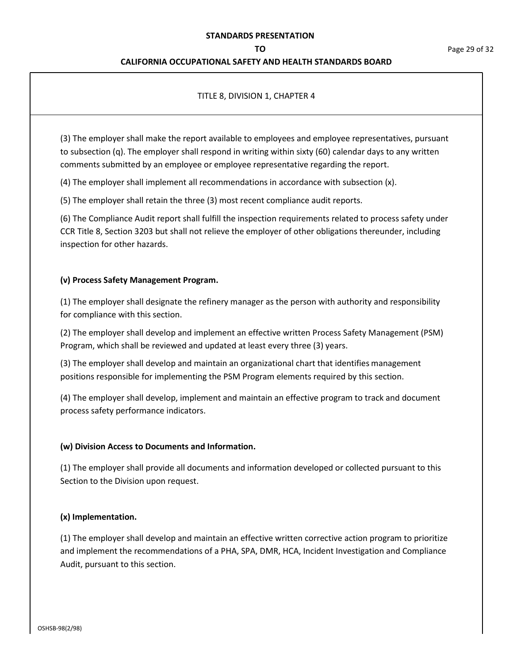## **CALIFORNIA OCCUPATIONAL SAFETY AND HEALTH STANDARDS BOARD**

## TITLE 8, DIVISION 1, CHAPTER 4

(3) The employer shall make the report available to employees and employee representatives, pursuant to subsection (q). The employer shall respond in writing within sixty (60) calendar days to any written comments submitted by an employee or employee representative regarding the report.

(4) The employer shall implement all recommendations in accordance with subsection (x).

(5) The employer shall retain the three (3) most recent compliance audit reports.

(6) The Compliance Audit report shall fulfill the inspection requirements related to process safety under CCR Title 8, Section 3203 but shall not relieve the employer of other obligations thereunder, including inspection for other hazards.

## **(v) Process Safety Management Program.**

(1) The employer shall designate the refinery manager as the person with authority and responsibility for compliance with this section.

(2) The employer shall develop and implement an effective written Process Safety Management (PSM) Program, which shall be reviewed and updated at least every three (3) years.

(3) The employer shall develop and maintain an organizational chart that identifies management positions responsible for implementing the PSM Program elements required by this section.

(4) The employer shall develop, implement and maintain an effective program to track and document process safety performance indicators.

#### **(w) Division Access to Documents and Information.**

(1) The employer shall provide all documents and information developed or collected pursuant to this Section to the Division upon request.

#### **(x) Implementation.**

(1) The employer shall develop and maintain an effective written corrective action program to prioritize and implement the recommendations of a PHA, SPA, DMR, HCA, Incident Investigation and Compliance Audit, pursuant to this section.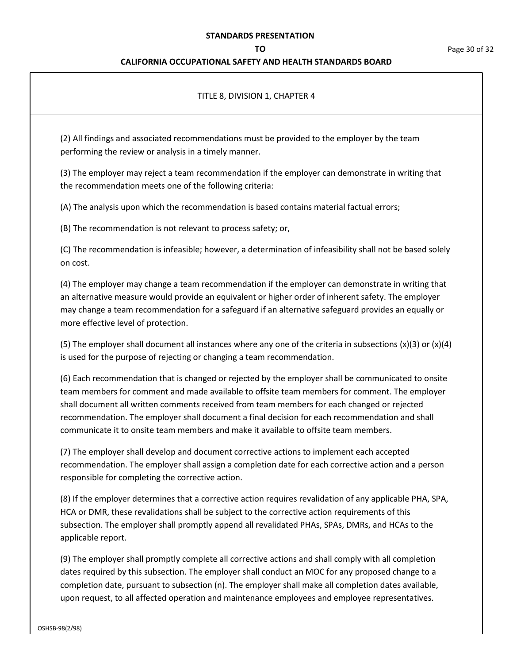## **CALIFORNIA OCCUPATIONAL SAFETY AND HEALTH STANDARDS BOARD**

## TITLE 8, DIVISION 1, CHAPTER 4

(2) All findings and associated recommendations must be provided to the employer by the team performing the review or analysis in a timely manner.

(3) The employer may reject a team recommendation if the employer can demonstrate in writing that the recommendation meets one of the following criteria:

(A) The analysis upon which the recommendation is based contains material factual errors;

(B) The recommendation is not relevant to process safety; or,

(C) The recommendation is infeasible; however, a determination of infeasibility shall not be based solely on cost.

(4) The employer may change a team recommendation if the employer can demonstrate in writing that an alternative measure would provide an equivalent or higher order of inherent safety. The employer may change a team recommendation for a safeguard if an alternative safeguard provides an equally or more effective level of protection.

(5) The employer shall document all instances where any one of the criteria in subsections  $(x)(3)$  or  $(x)(4)$ is used for the purpose of rejecting or changing a team recommendation.

(6) Each recommendation that is changed or rejected by the employer shall be communicated to onsite team members for comment and made available to offsite team members for comment. The employer shall document all written comments received from team members for each changed or rejected recommendation. The employer shall document a final decision for each recommendation and shall communicate it to onsite team members and make it available to offsite team members.

(7) The employer shall develop and document corrective actions to implement each accepted recommendation. The employer shall assign a completion date for each corrective action and a person responsible for completing the corrective action.

(8) If the employer determines that a corrective action requires revalidation of any applicable PHA, SPA, HCA or DMR, these revalidations shall be subject to the corrective action requirements of this subsection. The employer shall promptly append all revalidated PHAs, SPAs, DMRs, and HCAs to the applicable report.

(9) The employer shall promptly complete all corrective actions and shall comply with all completion dates required by this subsection. The employer shall conduct an MOC for any proposed change to a completion date, pursuant to subsection (n). The employer shall make all completion dates available, upon request, to all affected operation and maintenance employees and employee representatives.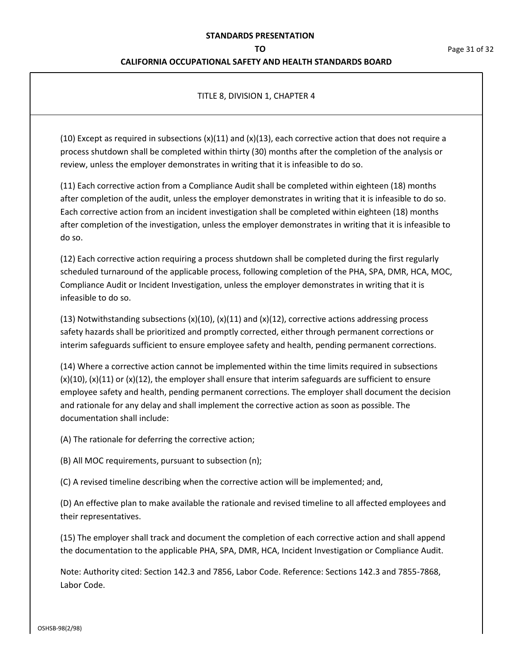### **CALIFORNIA OCCUPATIONAL SAFETY AND HEALTH STANDARDS BOARD**

## TITLE 8, DIVISION 1, CHAPTER 4

(10) Except as required in subsections  $(x)(11)$  and  $(x)(13)$ , each corrective action that does not require a process shutdown shall be completed within thirty (30) months after the completion of the analysis or review, unless the employer demonstrates in writing that it is infeasible to do so.

(11) Each corrective action from a Compliance Audit shall be completed within eighteen (18) months after completion of the audit, unless the employer demonstrates in writing that it is infeasible to do so. Each corrective action from an incident investigation shall be completed within eighteen (18) months after completion of the investigation, unless the employer demonstrates in writing that it is infeasible to do so.

(12) Each corrective action requiring a process shutdown shall be completed during the first regularly scheduled turnaround of the applicable process, following completion of the PHA, SPA, DMR, HCA, MOC, Compliance Audit or Incident Investigation, unless the employer demonstrates in writing that it is infeasible to do so.

(13) Notwithstanding subsections  $(x)(10)$ ,  $(x)(11)$  and  $(x)(12)$ , corrective actions addressing process safety hazards shall be prioritized and promptly corrected, either through permanent corrections or interim safeguards sufficient to ensure employee safety and health, pending permanent corrections.

(14) Where a corrective action cannot be implemented within the time limits required in subsections  $(x)(10)$ ,  $(x)(11)$  or  $(x)(12)$ , the employer shall ensure that interim safeguards are sufficient to ensure employee safety and health, pending permanent corrections. The employer shall document the decision and rationale for any delay and shall implement the corrective action as soon as possible. The documentation shall include:

(A) The rationale for deferring the corrective action;

(B) All MOC requirements, pursuant to subsection (n);

(C) A revised timeline describing when the corrective action will be implemented; and,

(D) An effective plan to make available the rationale and revised timeline to all affected employees and their representatives.

(15) The employer shall track and document the completion of each corrective action and shall append the documentation to the applicable PHA, SPA, DMR, HCA, Incident Investigation or Compliance Audit.

Note: Authority cited: Section 142.3 and 7856, Labor Code. Reference: Sections 142.3 and 7855-7868, Labor Code.